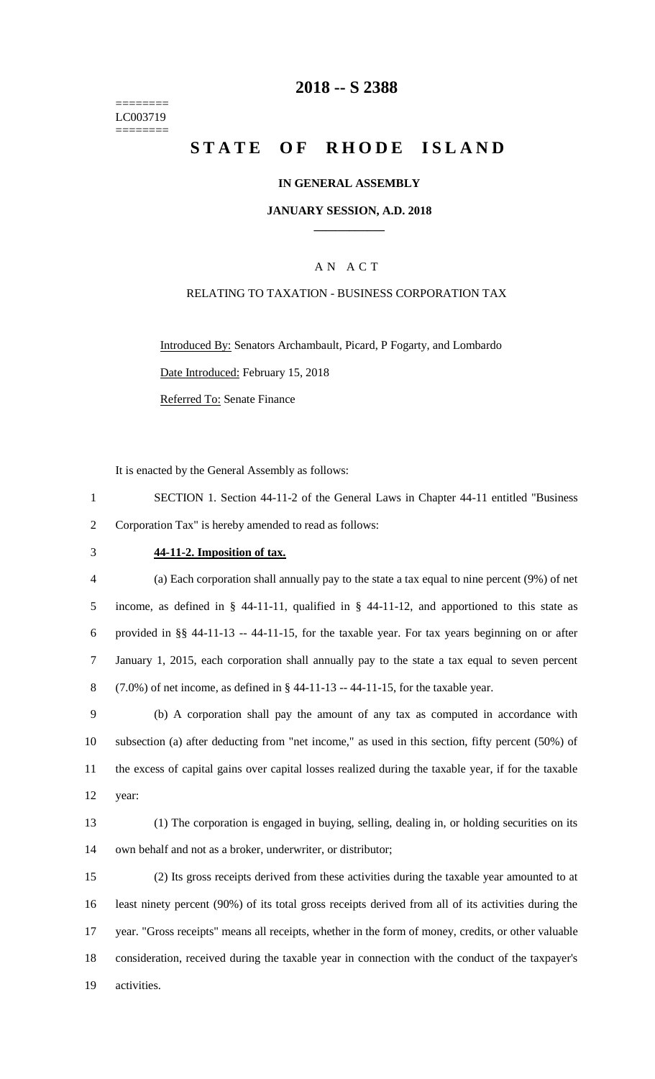======== LC003719 ========

## **-- S 2388**

# **STATE OF RHODE ISLAND**

## **IN GENERAL ASSEMBLY**

## **JANUARY SESSION, A.D. 2018 \_\_\_\_\_\_\_\_\_\_\_\_**

## A N A C T

## RELATING TO TAXATION - BUSINESS CORPORATION TAX

Introduced By: Senators Archambault, Picard, P Fogarty, and Lombardo Date Introduced: February 15, 2018 Referred To: Senate Finance

It is enacted by the General Assembly as follows:

 SECTION 1. Section 44-11-2 of the General Laws in Chapter 44-11 entitled "Business Corporation Tax" is hereby amended to read as follows:

### **44-11-2. Imposition of tax.**

 (a) Each corporation shall annually pay to the state a tax equal to nine percent (9%) of net income, as defined in § 44-11-11, qualified in § 44-11-12, and apportioned to this state as provided in §§ 44-11-13 -- 44-11-15, for the taxable year. For tax years beginning on or after January 1, 2015, each corporation shall annually pay to the state a tax equal to seven percent (7.0%) of net income, as defined in § 44-11-13 -- 44-11-15, for the taxable year.

 (b) A corporation shall pay the amount of any tax as computed in accordance with subsection (a) after deducting from "net income," as used in this section, fifty percent (50%) of the excess of capital gains over capital losses realized during the taxable year, if for the taxable year:

 (1) The corporation is engaged in buying, selling, dealing in, or holding securities on its own behalf and not as a broker, underwriter, or distributor;

 (2) Its gross receipts derived from these activities during the taxable year amounted to at least ninety percent (90%) of its total gross receipts derived from all of its activities during the year. "Gross receipts" means all receipts, whether in the form of money, credits, or other valuable consideration, received during the taxable year in connection with the conduct of the taxpayer's activities.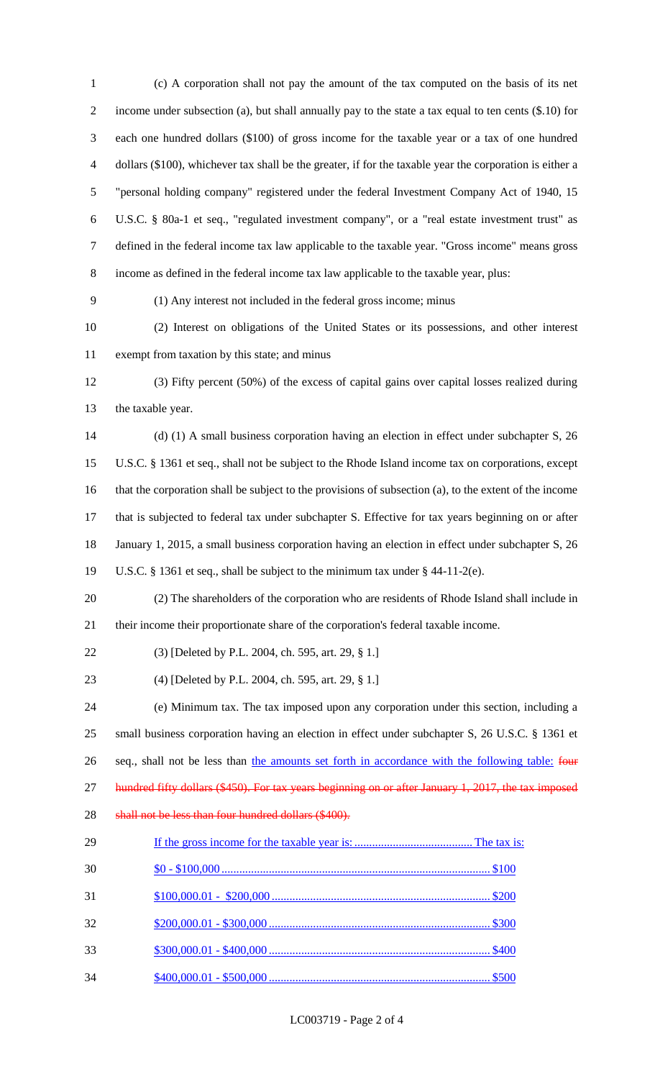(c) A corporation shall not pay the amount of the tax computed on the basis of its net income under subsection (a), but shall annually pay to the state a tax equal to ten cents (\$.10) for each one hundred dollars (\$100) of gross income for the taxable year or a tax of one hundred dollars (\$100), whichever tax shall be the greater, if for the taxable year the corporation is either a "personal holding company" registered under the federal Investment Company Act of 1940, 15 U.S.C. § 80a-1 et seq., "regulated investment company", or a "real estate investment trust" as defined in the federal income tax law applicable to the taxable year. "Gross income" means gross income as defined in the federal income tax law applicable to the taxable year, plus: (1) Any interest not included in the federal gross income; minus (2) Interest on obligations of the United States or its possessions, and other interest exempt from taxation by this state; and minus (3) Fifty percent (50%) of the excess of capital gains over capital losses realized during the taxable year. (d) (1) A small business corporation having an election in effect under subchapter S, 26 U.S.C. § 1361 et seq., shall not be subject to the Rhode Island income tax on corporations, except that the corporation shall be subject to the provisions of subsection (a), to the extent of the income that is subjected to federal tax under subchapter S. Effective for tax years beginning on or after January 1, 2015, a small business corporation having an election in effect under subchapter S, 26 U.S.C. § 1361 et seq., shall be subject to the minimum tax under § 44-11-2(e). (2) The shareholders of the corporation who are residents of Rhode Island shall include in their income their proportionate share of the corporation's federal taxable income. (3) [Deleted by P.L. 2004, ch. 595, art. 29, § 1.] (4) [Deleted by P.L. 2004, ch. 595, art. 29, § 1.] (e) Minimum tax. The tax imposed upon any corporation under this section, including a small business corporation having an election in effect under subchapter S, 26 U.S.C. § 1361 et 26 seq., shall not be less than the amounts set forth in accordance with the following table: four 27 hundred fifty dollars (\$450). For tax years beginning on or after January 1, 2017, the tax imposed 28 shall not be less than four hundred dollars (\$400). If the gross income for the taxable year is: ........................................ The tax is: \$0 - \$100,000 ........................................................................................... \$100 \$100,000.01 - \$200,000 .......................................................................... \$200 \$200,000.01 - \$300,000 ........................................................................... \$300 \$300,000.01 - \$400,000 ........................................................................... \$400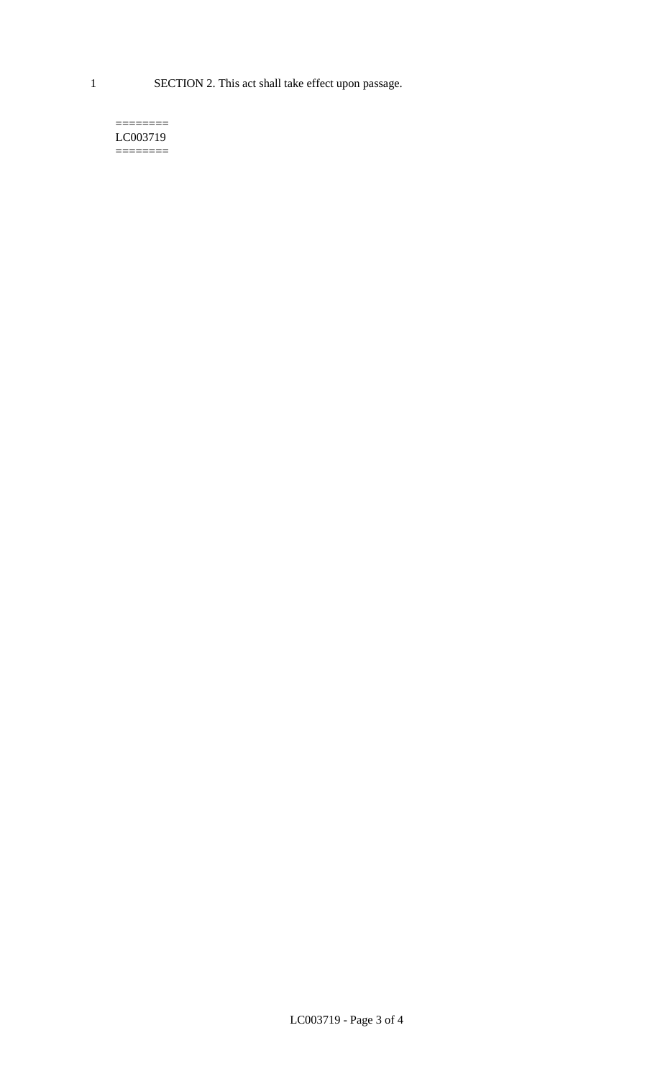1 SECTION 2. This act shall take effect upon passage.

#### $=$ LC003719  $=$